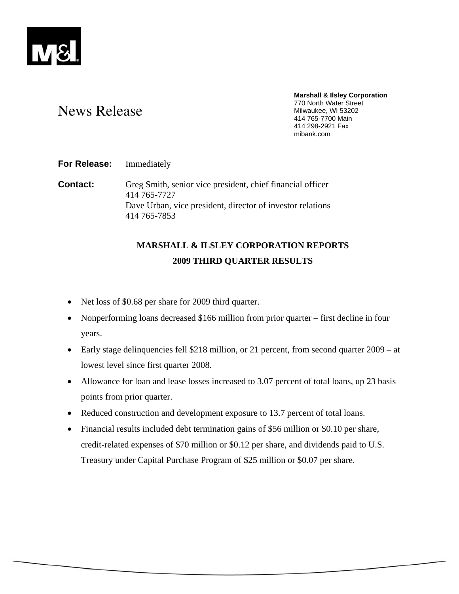

#### **Marshall & Ilsley Corporation**  770 North Water Street Milwaukee, WI 53202 414 765-7700 Main 414 298-2921 Fax mibank.com

# News Release

### **For Release:** Immediately

**Contact:** Greg Smith, senior vice president, chief financial officer 414 765-7727 Dave Urban, vice president, director of investor relations 414 765-7853

## **MARSHALL & ILSLEY CORPORATION REPORTS 2009 THIRD QUARTER RESULTS**

- Net loss of \$0.68 per share for 2009 third quarter.
- Nonperforming loans decreased \$166 million from prior quarter first decline in four years.
- Early stage delinquencies fell \$218 million, or 21 percent, from second quarter 2009 at lowest level since first quarter 2008.
- Allowance for loan and lease losses increased to 3.07 percent of total loans, up 23 basis points from prior quarter.
- Reduced construction and development exposure to 13.7 percent of total loans.
- Financial results included debt termination gains of \$56 million or \$0.10 per share, credit-related expenses of \$70 million or \$0.12 per share, and dividends paid to U.S. Treasury under Capital Purchase Program of \$25 million or \$0.07 per share.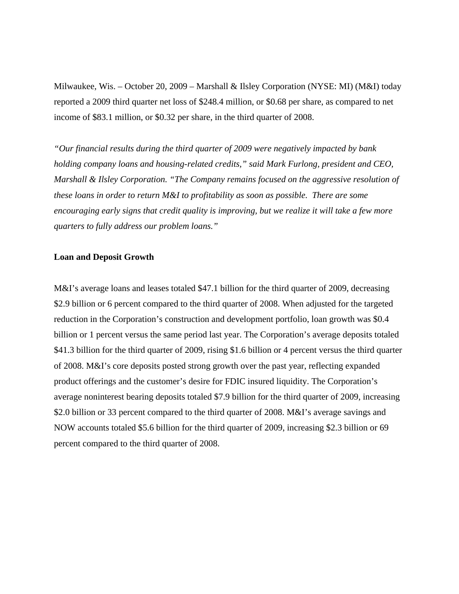Milwaukee, Wis. – October 20, 2009 – Marshall & Ilsley Corporation (NYSE: MI) (M&I) today reported a 2009 third quarter net loss of \$248.4 million, or \$0.68 per share, as compared to net income of \$83.1 million, or \$0.32 per share, in the third quarter of 2008.

*"Our financial results during the third quarter of 2009 were negatively impacted by bank holding company loans and housing-related credits," said Mark Furlong, president and CEO, Marshall & Ilsley Corporation. "The Company remains focused on the aggressive resolution of these loans in order to return M&I to profitability as soon as possible. There are some encouraging early signs that credit quality is improving, but we realize it will take a few more quarters to fully address our problem loans."* 

#### **Loan and Deposit Growth**

M&I's average loans and leases totaled \$47.1 billion for the third quarter of 2009, decreasing \$2.9 billion or 6 percent compared to the third quarter of 2008. When adjusted for the targeted reduction in the Corporation's construction and development portfolio, loan growth was \$0.4 billion or 1 percent versus the same period last year. The Corporation's average deposits totaled \$41.3 billion for the third quarter of 2009, rising \$1.6 billion or 4 percent versus the third quarter of 2008. M&I's core deposits posted strong growth over the past year, reflecting expanded product offerings and the customer's desire for FDIC insured liquidity. The Corporation's average noninterest bearing deposits totaled \$7.9 billion for the third quarter of 2009, increasing \$2.0 billion or 33 percent compared to the third quarter of 2008. M&I's average savings and NOW accounts totaled \$5.6 billion for the third quarter of 2009, increasing \$2.3 billion or 69 percent compared to the third quarter of 2008.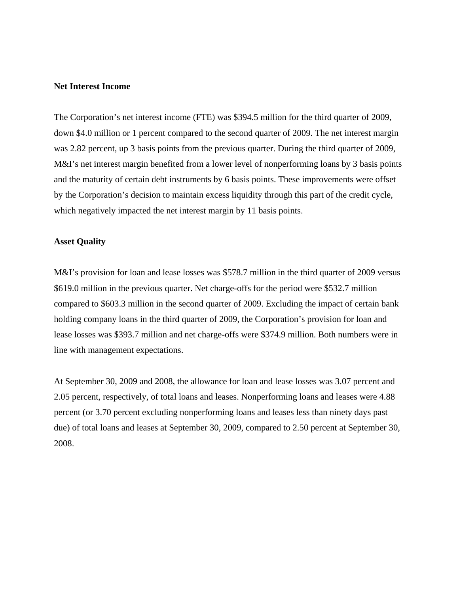#### **Net Interest Income**

The Corporation's net interest income (FTE) was \$394.5 million for the third quarter of 2009, down \$4.0 million or 1 percent compared to the second quarter of 2009. The net interest margin was 2.82 percent, up 3 basis points from the previous quarter. During the third quarter of 2009, M&I's net interest margin benefited from a lower level of nonperforming loans by 3 basis points and the maturity of certain debt instruments by 6 basis points. These improvements were offset by the Corporation's decision to maintain excess liquidity through this part of the credit cycle, which negatively impacted the net interest margin by 11 basis points.

#### **Asset Quality**

M&I's provision for loan and lease losses was \$578.7 million in the third quarter of 2009 versus \$619.0 million in the previous quarter. Net charge-offs for the period were \$532.7 million compared to \$603.3 million in the second quarter of 2009. Excluding the impact of certain bank holding company loans in the third quarter of 2009, the Corporation's provision for loan and lease losses was \$393.7 million and net charge-offs were \$374.9 million. Both numbers were in line with management expectations.

At September 30, 2009 and 2008, the allowance for loan and lease losses was 3.07 percent and 2.05 percent, respectively, of total loans and leases. Nonperforming loans and leases were 4.88 percent (or 3.70 percent excluding nonperforming loans and leases less than ninety days past due) of total loans and leases at September 30, 2009, compared to 2.50 percent at September 30, 2008.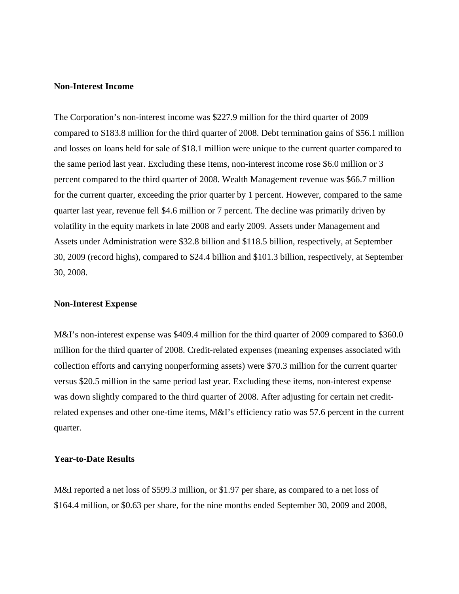#### **Non-Interest Income**

The Corporation's non-interest income was \$227.9 million for the third quarter of 2009 compared to \$183.8 million for the third quarter of 2008. Debt termination gains of \$56.1 million and losses on loans held for sale of \$18.1 million were unique to the current quarter compared to the same period last year. Excluding these items, non-interest income rose \$6.0 million or 3 percent compared to the third quarter of 2008. Wealth Management revenue was \$66.7 million for the current quarter, exceeding the prior quarter by 1 percent. However, compared to the same quarter last year, revenue fell \$4.6 million or 7 percent. The decline was primarily driven by volatility in the equity markets in late 2008 and early 2009. Assets under Management and Assets under Administration were \$32.8 billion and \$118.5 billion, respectively, at September 30, 2009 (record highs), compared to \$24.4 billion and \$101.3 billion, respectively, at September 30, 2008.

#### **Non-Interest Expense**

M&I's non-interest expense was \$409.4 million for the third quarter of 2009 compared to \$360.0 million for the third quarter of 2008. Credit-related expenses (meaning expenses associated with collection efforts and carrying nonperforming assets) were \$70.3 million for the current quarter versus \$20.5 million in the same period last year. Excluding these items, non-interest expense was down slightly compared to the third quarter of 2008. After adjusting for certain net creditrelated expenses and other one-time items, M&I's efficiency ratio was 57.6 percent in the current quarter.

#### **Year-to-Date Results**

M&I reported a net loss of \$599.3 million, or \$1.97 per share, as compared to a net loss of \$164.4 million, or \$0.63 per share, for the nine months ended September 30, 2009 and 2008,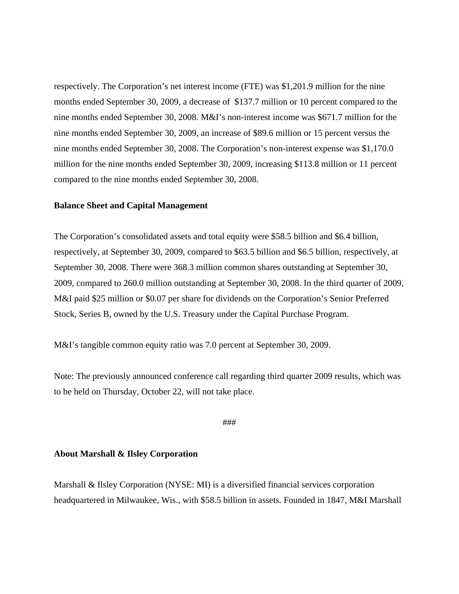respectively. The Corporation's net interest income (FTE) was \$1,201.9 million for the nine months ended September 30, 2009, a decrease of \$137.7 million or 10 percent compared to the nine months ended September 30, 2008. M&I's non-interest income was \$671.7 million for the nine months ended September 30, 2009, an increase of \$89.6 million or 15 percent versus the nine months ended September 30, 2008. The Corporation's non-interest expense was \$1,170.0 million for the nine months ended September 30, 2009, increasing \$113.8 million or 11 percent compared to the nine months ended September 30, 2008.

#### **Balance Sheet and Capital Management**

The Corporation's consolidated assets and total equity were \$58.5 billion and \$6.4 billion, respectively, at September 30, 2009, compared to \$63.5 billion and \$6.5 billion, respectively, at September 30, 2008. There were 368.3 million common shares outstanding at September 30, 2009, compared to 260.0 million outstanding at September 30, 2008. In the third quarter of 2009, M&I paid \$25 million or \$0.07 per share for dividends on the Corporation's Senior Preferred Stock, Series B, owned by the U.S. Treasury under the Capital Purchase Program.

M&I's tangible common equity ratio was 7.0 percent at September 30, 2009.

Note: The previously announced conference call regarding third quarter 2009 results, which was to be held on Thursday, October 22, will not take place.

#### ###

#### **About Marshall & Ilsley Corporation**

Marshall & Ilsley Corporation (NYSE: MI) is a diversified financial services corporation headquartered in Milwaukee, Wis., with \$58.5 billion in assets. Founded in 1847, M&I Marshall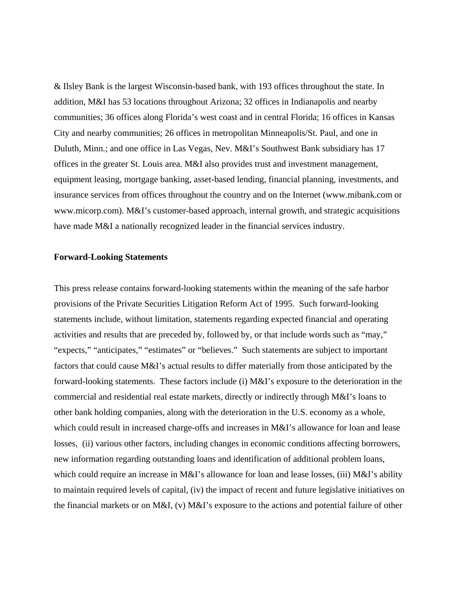& Ilsley Bank is the largest Wisconsin-based bank, with 193 offices throughout the state. In addition, M&I has 53 locations throughout Arizona; 32 offices in Indianapolis and nearby communities; 36 offices along Florida's west coast and in central Florida; 16 offices in Kansas City and nearby communities; 26 offices in metropolitan Minneapolis/St. Paul, and one in Duluth, Minn.; and one office in Las Vegas, Nev. M&I's Southwest Bank subsidiary has 17 offices in the greater St. Louis area. M&I also provides trust and investment management, equipment leasing, mortgage banking, asset-based lending, financial planning, investments, and insurance services from offices throughout the country and on the Internet (www.mibank.com or www.micorp.com). M&I's customer-based approach, internal growth, and strategic acquisitions have made M&I a nationally recognized leader in the financial services industry.

#### **Forward-Looking Statements**

This press release contains forward-looking statements within the meaning of the safe harbor provisions of the Private Securities Litigation Reform Act of 1995. Such forward-looking statements include, without limitation, statements regarding expected financial and operating activities and results that are preceded by, followed by, or that include words such as "may," "expects," "anticipates," "estimates" or "believes." Such statements are subject to important factors that could cause M&I's actual results to differ materially from those anticipated by the forward-looking statements. These factors include (i) M&I's exposure to the deterioration in the commercial and residential real estate markets, directly or indirectly through M&I's loans to other bank holding companies, along with the deterioration in the U.S. economy as a whole, which could result in increased charge-offs and increases in M&I's allowance for loan and lease losses, (ii) various other factors, including changes in economic conditions affecting borrowers, new information regarding outstanding loans and identification of additional problem loans, which could require an increase in M&I's allowance for loan and lease losses, (iii) M&I's ability to maintain required levels of capital, (iv) the impact of recent and future legislative initiatives on the financial markets or on M&I, (v) M&I's exposure to the actions and potential failure of other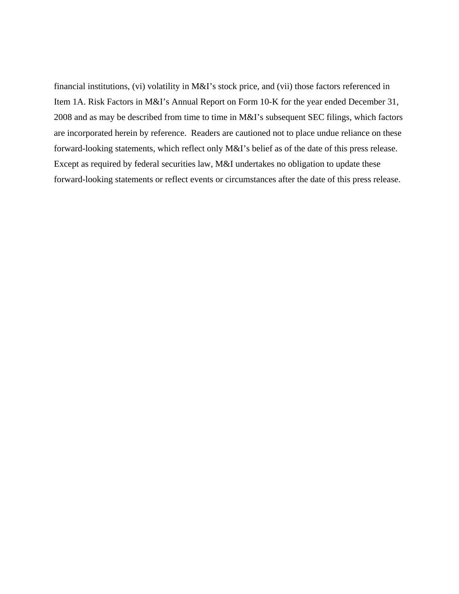financial institutions, (vi) volatility in M&I's stock price, and (vii) those factors referenced in Item 1A. Risk Factors in M&I's Annual Report on Form 10-K for the year ended December 31, 2008 and as may be described from time to time in M&I's subsequent SEC filings, which factors are incorporated herein by reference. Readers are cautioned not to place undue reliance on these forward-looking statements, which reflect only M&I's belief as of the date of this press release. Except as required by federal securities law, M&I undertakes no obligation to update these forward-looking statements or reflect events or circumstances after the date of this press release.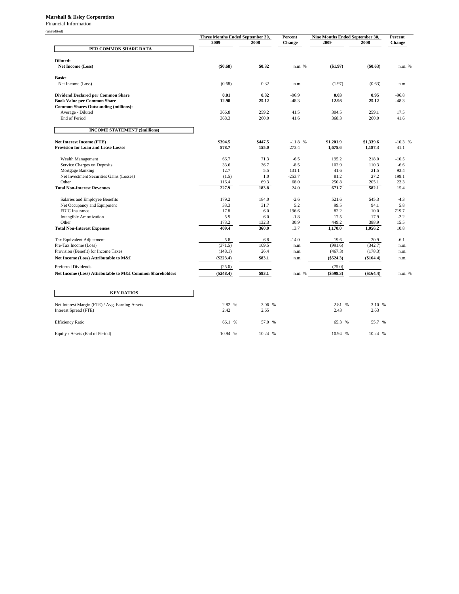#### **Marshall & Ilsley Corporation**

Financial Information

| ונפרוו |  |
|--------|--|
|        |  |

|                                                                   | Three Months Ended September 30, |                          | Percent       | Nine Months Ended September 30, | Percent                  |               |
|-------------------------------------------------------------------|----------------------------------|--------------------------|---------------|---------------------------------|--------------------------|---------------|
|                                                                   | 2009                             | 2008                     | <b>Change</b> | 2009                            | 2008                     | <b>Change</b> |
| PER COMMON SHARE DATA                                             |                                  |                          |               |                                 |                          |               |
|                                                                   |                                  |                          |               |                                 |                          |               |
| Diluted:                                                          |                                  |                          |               |                                 |                          |               |
| Net Income (Loss)                                                 | (\$0.68)                         | \$0.32                   | n.m. %        | $(\$1.97)$                      | (\$0.63)                 | n.m. %        |
| <b>Basic:</b>                                                     |                                  |                          |               |                                 |                          |               |
| Net Income (Loss)                                                 | (0.68)                           | 0.32                     | n.m.          | (1.97)                          | (0.63)                   | n.m.          |
|                                                                   |                                  |                          |               |                                 |                          |               |
| <b>Dividend Declared per Common Share</b>                         | 0.01                             | 0.32                     | $-96.9$       | 0.03                            | 0.95                     | $-96.8$       |
| <b>Book Value per Common Share</b>                                | 12.98                            | 25.12                    | $-48.3$       | 12.98                           | 25.12                    | $-48.3$       |
| <b>Common Shares Outstanding (millions):</b><br>Average - Diluted | 366.8                            | 259.2                    | 41.5          | 304.5                           | 259.1                    | 17.5          |
| <b>End of Period</b>                                              | 368.3                            | 260.0                    | 41.6          | 368.3                           | 260.0                    | 41.6          |
|                                                                   |                                  |                          |               |                                 |                          |               |
| <b>INCOME STATEMENT (\$millions)</b>                              |                                  |                          |               |                                 |                          |               |
| <b>Net Interest Income (FTE)</b>                                  | \$394.5                          | \$447.5                  | $-11.8$ %     | \$1,201.9                       | \$1,339.6                | $-10.3$ %     |
| <b>Provision for Loan and Lease Losses</b>                        | 578.7                            | 155.0                    | 273.4         | 1,675.6                         | 1,187.3                  | 41.1          |
|                                                                   |                                  |                          |               |                                 |                          |               |
| Wealth Management                                                 | 66.7                             | 71.3                     | $-6.5$        | 195.2                           | 218.0                    | $-10.5$       |
| Service Charges on Deposits                                       | 33.6                             | 36.7                     | $-8.5$        | 102.9                           | 110.3                    | $-6.6$        |
| Mortgage Banking                                                  | 12.7                             | 5.5                      | 131.1         | 41.6                            | 21.5                     | 93.4          |
| Net Investment Securities Gains (Losses)                          | (1.5)                            | 1.0                      | $-253.7$      | 81.2                            | 27.2                     | 199.1         |
| Other                                                             | 116.4                            | 69.3                     | 68.0          | 250.8                           | 205.1                    | 22.3          |
| <b>Total Non-Interest Revenues</b>                                | 227.9                            | 183.8                    | 24.0          | 671.7                           | 582.1                    | 15.4          |
| Salaries and Employee Benefits                                    | 179.2                            | 184.0                    | $-2.6$        | 521.6                           | 545.3                    | $-4.3$        |
| Net Occupancy and Equipment                                       | 33.3                             | 31.7                     | 5.2           | 99.5                            | 94.1                     | 5.8           |
| FDIC Insurance                                                    | 17.8                             | 6.0                      | 196.6         | 82.2                            | 10.0                     | 719.7         |
| <b>Intangible Amortization</b>                                    | 5.9                              | 6.0                      | $-1.8$        | 17.5                            | 17.9                     | $-2.2$        |
| Other                                                             | 173.2                            | 132.3                    | 30.9          | 449.2                           | 388.9                    | 15.5          |
| <b>Total Non-Interest Expenses</b>                                | 409.4                            | 360.0                    | 13.7          | 1,170.0                         | 1,056.2                  | 10.8          |
| Tax Equivalent Adjustment                                         | 5.8                              | 6.8                      | $-14.0$       | 19.6                            | 20.9                     | $-6.1$        |
| Pre-Tax Income (Loss)                                             | (371.5)                          | 109.5                    | n.m.          | (991.6)                         | (342.7)                  | n.m.          |
| Provision (Benefit) for Income Taxes                              | (148.1)                          | 26.4                     | n.m.          | (467.3)                         | (178.3)                  | n.m.          |
| Net Income (Loss) Attributable to M&I                             | $(\$223.4)$                      | \$83.1                   | n.m.          | (\$524.3)                       | (\$164.4)                | n.m.          |
| Preferred Dividends                                               | (25.0)                           | $\overline{\phantom{a}}$ |               | (75.0)                          | $\overline{\phantom{a}}$ |               |
| Net Income (Loss) Attributable to M&I Common Shareholders         | $(\$248.4)$                      | \$83.1                   | n.m. %        | (\$599.3)                       | (\$164.4)                | n.m. %        |
|                                                                   |                                  |                          |               |                                 |                          |               |
| <b>KEY RATIOS</b>                                                 |                                  |                          |               |                                 |                          |               |
|                                                                   |                                  |                          |               |                                 |                          |               |
| Net Interest Margin (FTE) / Avg. Earning Assets                   | 2.82 %                           | 3.06 %                   |               | 2.81 %                          | 3.10 %                   |               |
| Interest Spread (FTE)                                             | 2.42                             | 2.65                     |               | 2.43                            | 2.63                     |               |
|                                                                   |                                  |                          |               |                                 |                          |               |
| <b>Efficiency Ratio</b>                                           | 66.1 %                           | 57.0 %                   |               | 65.3 %                          | 55.7 %                   |               |
| Equity / Assets (End of Period)                                   | 10.94 %                          | 10.24 %                  |               | 10.94 %                         | 10.24 %                  |               |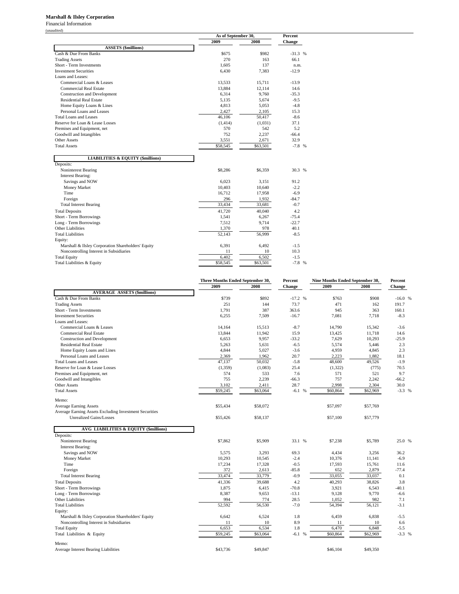#### **Marshall & Ilsley Corporation**

Financial Information (unaudited)

| uuncu .                                            |          | As of September 30, |          |  |  |  |
|----------------------------------------------------|----------|---------------------|----------|--|--|--|
|                                                    | 2009     | 2008                | Change   |  |  |  |
| <b>ASSETS</b> (\$millions)                         |          |                     |          |  |  |  |
| Cash & Due From Banks                              | \$675    | \$982               | $-31.3%$ |  |  |  |
| <b>Trading Assets</b>                              | 270      | 163                 | 66.1     |  |  |  |
| Short - Term Investments                           | 1.605    | 137                 | n.m.     |  |  |  |
| <b>Investment Securities</b>                       | 6,430    | 7,383               | $-12.9$  |  |  |  |
| Loans and Leases:                                  |          |                     |          |  |  |  |
| Commercial Loans & Leases                          | 13,533   | 15,711              | $-13.9$  |  |  |  |
| <b>Commercial Real Estate</b>                      | 13,884   | 12,114              | 14.6     |  |  |  |
| <b>Construction and Development</b>                | 6,314    | 9,760               | $-35.3$  |  |  |  |
| <b>Residential Real Estate</b>                     | 5,135    | 5,674               | $-9.5$   |  |  |  |
| Home Equity Loans & Lines                          | 4,813    | 5,053               | $-4.8$   |  |  |  |
| Personal Loans and Leases                          | 2.427    | 2,105               | 15.3     |  |  |  |
| Total Loans and Leases                             | 46,106   | 50,417              | $-8.6$   |  |  |  |
| Reserve for Loan & Lease Losses                    | (1, 414) | (1,031)             | 37.1     |  |  |  |
| Premises and Equipment, net                        | 570      | 542                 | 5.2      |  |  |  |
| Goodwill and Intangibles                           | 752      | 2,237               | $-66.4$  |  |  |  |
| <b>Other Assets</b>                                | 3,551    | 2,671               | 32.9     |  |  |  |
| <b>Total Assets</b>                                | \$58,545 | \$63,501            | $-7.8$ % |  |  |  |
| <b>LIABILITIES &amp; EQUITY (\$millions)</b>       |          |                     |          |  |  |  |
| Deposits:                                          |          |                     |          |  |  |  |
| Noninterest Bearing                                | \$8,286  | \$6,359             | 30.3 %   |  |  |  |
| <b>Interest Bearing:</b>                           |          |                     |          |  |  |  |
| Savings and NOW                                    | 6,023    | 3,151               | 91.2     |  |  |  |
| Money Market                                       | 10,403   | 10,640              | $-2.2$   |  |  |  |
| Time                                               | 16,712   | 17,958              | $-6.9$   |  |  |  |
| Foreign                                            | 296      | 1,932               | $-84.7$  |  |  |  |
| <b>Total Interest Bearing</b>                      | 33,434   | 33,681              | $-0.7$   |  |  |  |
| <b>Total Deposits</b>                              | 41,720   | 40,040              | 4.2      |  |  |  |
| Short - Term Borrowings                            | 1,541    | 6,267               | $-75.4$  |  |  |  |
| Long - Term Borrowings                             | 7,512    | 9,714               | $-22.7$  |  |  |  |
| <b>Other Liabilities</b>                           | 1,370    | 978                 | 40.1     |  |  |  |
| <b>Total Liabilities</b>                           | 52,143   | 56,999              | $-8.5$   |  |  |  |
| Equity:                                            |          |                     |          |  |  |  |
| Marshall & Ilsley Corporation Shareholders' Equity | 6,391    | 6,492               | $-1.5$   |  |  |  |
| Noncontrolling Interest in Subsidiaries            | 11       | 10                  | 10.3     |  |  |  |
| <b>Total Equity</b>                                | 6,402    | 6,502               | $-1.5$   |  |  |  |
| Total Liabilities & Equity                         | \$58,545 | \$63,501            | $-7.8$ % |  |  |  |

|                                                        | Three Months Ended September 30, |          | Percent       | Nine Months Ended September 30, | Percent  |               |
|--------------------------------------------------------|----------------------------------|----------|---------------|---------------------------------|----------|---------------|
|                                                        | 2009                             | 2008     | <b>Change</b> | 2009                            | 2008     | <b>Change</b> |
| <b>AVERAGE ASSETS (\$millions)</b>                     |                                  |          |               |                                 |          |               |
| Cash & Due From Banks                                  | \$739                            | \$892    | $-17.2$ %     | \$763                           | \$908    | $-16.0%$      |
| <b>Trading Assets</b>                                  | 251                              | 144      | 73.7          | 471                             | 162      | 191.7         |
| Short - Term Investments                               | 1,791                            | 387      | 363.6         | 945                             | 363      | 160.1         |
| <b>Investment Securities</b>                           | 6,255                            | 7,509    | $-16.7$       | 7,081                           | 7,718    | $-8.3$        |
| Loans and Leases:                                      |                                  |          |               |                                 |          |               |
| Commercial Loans & Leases                              | 14,164                           | 15.513   | $-8.7$        | 14,790                          | 15,342   | $-3.6$        |
| <b>Commercial Real Estate</b>                          | 13,844                           | 11,942   | 15.9          | 13,425                          | 11,718   | 14.6          |
| <b>Construction and Development</b>                    | 6,653                            | 9,957    | $-33.2$       | 7,629                           | 10,293   | $-25.9$       |
| <b>Residential Real Estate</b>                         | 5,263                            | 5,631    | $-6.5$        | 5,574                           | 5,446    | 2.3           |
| Home Equity Loans and Lines                            | 4,844                            | 5,027    | $-3.6$        | 4,959                           | 4,845    | 2.3           |
| Personal Loans and Leases                              | 2,369                            | 1,962    | 20.7          | 2,223                           | 1,882    | 18.1          |
| Total Loans and Leases                                 | 47,137                           | 50.032   | $-5.8$        | 48,600                          | 49,526   | $-1.9$        |
| Reserve for Loan & Lease Losses                        | (1, 359)                         | (1,083)  | 25.4          | (1, 322)                        | (775)    | 70.5          |
| Premises and Equipment, net                            | 574                              | 533      | 7.6           | 571                             | 521      | 9.7           |
| Goodwill and Intangibles                               | 755                              | 2,239    | $-66.3$       | 757                             | 2,242    | $-66.2$       |
| <b>Other Assets</b>                                    | 3,102                            | 2,411    | 28.7          | 2,998                           | 2,304    | 30.0          |
| <b>Total Assets</b>                                    | \$59,245                         | \$63,064 | $-6.1%$       | \$60,864                        | \$62,969 | $-3.3 %$      |
| Memo:                                                  |                                  |          |               |                                 |          |               |
| <b>Average Earning Assets</b>                          | \$55,434                         | \$58,072 |               | \$57,097                        | \$57,769 |               |
| Average Earning Assets Excluding Investment Securities |                                  |          |               |                                 |          |               |
| <b>Unrealized Gains/Losses</b>                         | \$55,426                         | \$58,137 |               | \$57,100                        | \$57,779 |               |
| <b>AVG LIABILITIES &amp; EQUITY (\$millions)</b>       |                                  |          |               |                                 |          |               |
| Deposits:                                              |                                  |          |               |                                 |          |               |
| Noninterest Bearing                                    | \$7,862                          | \$5,909  | 33.1 %        | \$7.238                         | \$5,789  | 25.0 %        |
| <b>Interest Bearing:</b>                               |                                  |          |               |                                 |          |               |
| Savings and NOW                                        | 5,575                            | 3,293    | 69.3          | 4,434                           | 3,256    | 36.2          |
| Money Market                                           | 10,293                           | 10,545   | $-2.4$        | 10,376                          | 11,141   | $-6.9$        |
| Time                                                   | 17,234                           | 17,328   | $-0.5$        | 17,593                          | 15,761   | 11.6          |
| Foreign                                                | 372                              | 2,613    | $-85.8$       | 652                             | 2,879    | $-77.4$       |
| <b>Total Interest Bearing</b>                          | 33,474                           | 33,779   | $-0.9$        | 33,055                          | 33,037   | 0.1           |
| <b>Total Deposits</b>                                  | 41,336                           | 39,688   | 4.2           | 40,293                          | 38.826   | 3.8           |
| Short - Term Borrowings                                | 1,875                            | 6,415    | $-70.8$       | 3,921                           | 6,543    | $-40.1$       |
| Long - Term Borrowings                                 | 8,387                            | 9.653    | $-13.1$       | 9,128                           | 9,770    | $-6.6$        |
| <b>Other Liabilities</b>                               | 994                              | 774      | 28.5          | 1,052                           | 982      | 7.1           |
| <b>Total Liabilities</b>                               | 52,592                           | 56,530   | $-7.0$        | 54,394                          | 56,121   | $-3.1$        |
| Equity:                                                |                                  |          |               |                                 |          |               |
| Marshall & Ilsley Corporation Shareholders' Equity     | 6.642                            | 6.524    | 1.8           | 6,459                           | 6,838    | $-5.5$        |
| Noncontrolling Interest in Subsidiaries                | 11                               | 10       | 8.9           | 11                              | 10       | 6.6           |
| <b>Total Equity</b>                                    | 6,653                            | 6,534    | 1.8           | 6,470                           | 6,848    | $-5.5$        |
| Total Liabilities & Equity                             | \$59,245                         | \$63,064 | -6.1 %        | \$60,864                        | \$62,969 | $-3.3 %$      |
| Memo:                                                  |                                  |          |               |                                 |          |               |
| <b>Average Interest Bearing Liabilities</b>            | \$43,736                         | \$49,847 |               | \$46,104                        | \$49,350 |               |